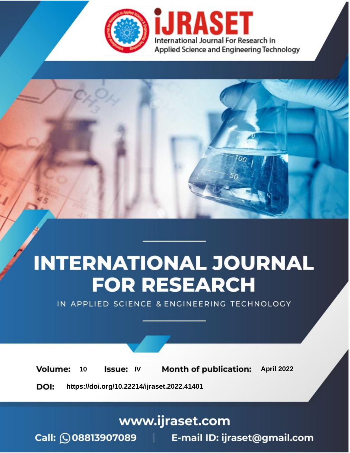

# **INTERNATIONAL JOURNAL FOR RESEARCH**

IN APPLIED SCIENCE & ENGINEERING TECHNOLOGY

10 **Issue: IV Month of publication:** April 2022 **Volume:** 

**https://doi.org/10.22214/ijraset.2022.41401**DOI:

www.ijraset.com

Call: **Q08813907089** E-mail ID: ijraset@gmail.com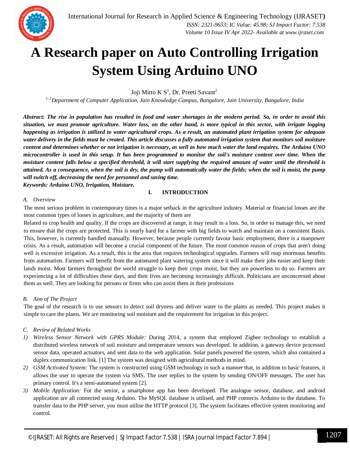### **A Research paper on Auto Controlling Irrigation System Using Arduino UNO**

Joji Mitto K  $S^1$ , Dr. Preeti Savant<sup>2</sup>

*1, 2Department of Computer Application, Jain Knowledge Campus, Bangalore, Jain University, Bangalore, India*

*Abstract: The rise in population has resulted in food and water shortages in the modern period. So, in order to avoid this situation, we must promote agriculture. Water loss, on the other hand, is more typical in this sector, with irrigate logging happening as irrigation is utilized to water agricultural crops. As a result, an automated plant irrigation system for adequate water delivery in the fields must be created. This article discusses a fully automated irrigation system that monitors soil moisture content and determines whether or not irrigation is necessary, as well as how much water the land requires. The Arduino UNO microcontroller is used in this setup. It has been programmed to monitor the soil's moisture content over time. When the moisture content falls below a specified threshold, it will start supplying the required amount of water until the threshold is attained. As a consequence, when the soil is dry, the pump will automatically water the fields; when the soil is moist, the pump will switch off, decreasing the need for personnel and saving time.*

*Keywords: Arduino UNO, Irrigation, Moisture.*

#### **I. INTRODUCTION**

#### *A. Overview*

The most serious problem in contemporary times is a major setback in the agriculture industry. Material or financial losses are the most common types of losses in agriculture, and the majority of them are

Related to crop health and quality. If the crops are discovered at range, it may result in a loss. So, in order to manage this, we need to ensure that the crops are protected. This is nearly hard for a farmer with big fields to watch and maintain on a consistent Basis. This, however, is currently handled manually. However, because people currently favour basic employment, there is a manpower crisis. As a result, automation will become a crucial component of the future. The most common reason of crops that aren't doing well is excessive irrigation. As a result, this is the area that requires technological upgrades. Farmers will reap enormous benefits from automation. Farmers will benefit from the automated plant watering system since it will make their jobs easier and keep their lands moist. Most farmers throughout the world struggle to keep their crops moist, but they are powerless to do so. Farmers are experiencing a lot of difficulties these days, and their lives are becoming increasingly difficult. Politicians are unconcerned about them as well. They are looking for persons or firms who can assist them in their professions

#### *B. Aim of The Project*

The goal of the research is to use sensors to detect soil dryness and deliver water to the plants as needed. This project makes it simple to care the plants. We are monitoring soil moisture and the requirement for irrigation in this project.

#### *C. Review of Related Works*

- *1) Wireless Sensor Network with GPRS Module:* During 2014, a system that employed Zigbee technology to establish a distributed wireless network of soil moisture and temperature sensors was developed. In addition, a gateway device processed sensor data, operated actuators, and sent data to the web application. Solar panels powered the system, which also contained a duplex communication link. [1] The system was designed with agricultural methods in mind.
- *2) GSM Activated System:* The system is constructed using GSM technology in such a manner that, in addition to basic features, it allows the user to operate the system via SMS. The user replies to the system by sending ON/OFF messages. The user has primary control. It's a semi-automated system [2].
- *3) Mobile Application:* For the senior, a smartphone app has been developed. The analogue sensor, database, and android application are all connected using Arduino. The MySQL database is utilised, and PHP connects Arduino to the database. To transfer data to the PHP server, you must utilise the HTTP protocol [3]. The system facilitates effective system monitoring and control.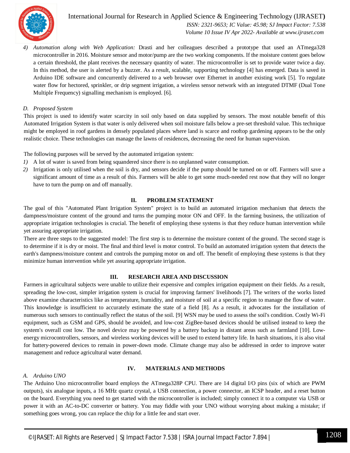

#### International Journal for Research in Applied Science & Engineering Technology (IJRASET**)**  *ISSN: 2321-9653; IC Value: 45.98; SJ Impact Factor: 7.538*

 *Volume 10 Issue IV Apr 2022- Available at www.ijraset.com*

*4) Automation along with Web Application:* Drasti and her colleagues described a prototype that used an ATmega328 microcontroller in 2016. Moisture sensor and motor/pump are the two working components. If the moisture content goes below a certain threshold, the plant receives the necessary quantity of water. The microcontroller is set to provide water twice a day. In this method, the user is alerted by a buzzer. As a result, scalable, supporting technology [4] has emerged. Data is saved in Arduino IDE software and concurrently delivered to a web browser over Ethernet in another existing work [5]. To regulate water flow for hectored, sprinkler, or drip segment irrigation, a wireless sensor network with an integrated DTMF (Dual Tone Multiple Frequency) signalling mechanism is employed. [6].

#### *D. Proposed System*

This project is used to identify water scarcity in soil only based on data supplied by sensors. The most notable benefit of this Automated Irrigation System is that water is only delivered when soil moisture falls below a pre-set threshold value. This technique might be employed in roof gardens in densely populated places where land is scarce and rooftop gardening appears to be the only realistic choice. These technologies can manage the lawns of residences, decreasing the need for human supervision.

The following purposes will be served by the automated irrigation system:

- *1)* A lot of water is saved from being squandered since there is no unplanned water consumption.
- *2)* Irrigation is only utilised when the soil is dry, and sensors decide if the pump should be turned on or off. Farmers will save a significant amount of time as a result of this. Farmers will be able to get some much-needed rest now that they will no longer have to turn the pump on and off manually.

#### **II. PROBLEM STATEMENT**

The goal of this "Automated Plant Irrigation System" project is to build an automated irrigation mechanism that detects the dampness/moisture content of the ground and turns the pumping motor ON and OFF. In the farming business, the utilization of appropriate irrigation technologies is crucial. The benefit of employing these systems is that they reduce human intervention while yet assuring appropriate irrigation.

There are three steps to the suggested model: The first step is to determine the moisture content of the ground. The second stage is to determine if it is dry or moist. The final and third level is motor control. To build an automated irrigation system that detects the earth's dampness/moisture content and controls the pumping motor on and off. The benefit of employing these systems is that they minimize human intervention while yet assuring appropriate irrigation.

#### **III. RESEARCH AREA AND DISCUSSION**

Farmers in agricultural subjects were unable to utilize their expensive and complex irrigation equipment on their fields. As a result, spreading the low-cost, simpler irrigation system is crucial for improving farmers' livelihoods [7]. The writers of the works listed above examine characteristics like as temperature, humidity, and moisture of soil at a specific region to manage the flow of water. This knowledge is insufficient to accurately estimate the state of a field [8]. As a result, it advocates for the installation of numerous such sensors to continually reflect the status of the soil. [9] WSN may be used to assess the soil's condition. Costly Wi-Fi equipment, such as GSM and GPS, should be avoided, and low-cost ZigBee-based devices should be utilised instead to keep the system's overall cost low. The novel device may be powered by a battery backup in distant areas such as farmland [10]. Lowenergy microcontrollers, sensors, and wireless working devices will be used to extend battery life. In harsh situations, it is also vital for battery-powered devices to remain in power-down mode. Climate change may also be addressed in order to improve water management and reduce agricultural water demand.

#### **IV. MATERIALS AND METHODS**

#### *A. Arduino UNO*

The Arduino Uno microcontroller board employs the ATmega328P CPU. There are 14 digital I/O pins (six of which are PWM outputs), six analogue inputs, a 16 MHz quartz crystal, a USB connection, a power connector, an ICSP header, and a reset button on the board. Everything you need to get started with the microcontroller is included; simply connect it to a computer via USB or power it with an AC-to-DC converter or battery. You may fiddle with your UNO without worrying about making a mistake; if something goes wrong, you can replace the chip for a little fee and start over.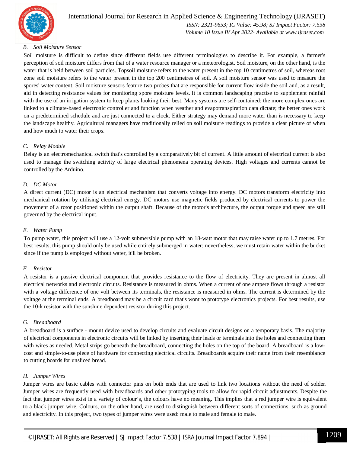

#### International Journal for Research in Applied Science & Engineering Technology (IJRASET**)**  *ISSN: 2321-9653; IC Value: 45.98; SJ Impact Factor: 7.538 Volume 10 Issue IV Apr 2022- Available at www.ijraset.com*

#### *B. Soil Moisture Sensor*

Soil moisture is difficult to define since different fields use different terminologies to describe it. For example, a farmer's perception of soil moisture differs from that of a water resource manager or a meteorologist. Soil moisture, on the other hand, is the water that is held between soil particles. Topsoil moisture refers to the water present in the top 10 centimetres of soil, whereas root zone soil moisture refers to the water present in the top 200 centimetres of soil. A soil moisture sensor was used to measure the spores' water content. Soil moisture sensors feature two probes that are responsible for current flow inside the soil and, as a result, aid in detecting resistance values for monitoring spore moisture levels. It is common landscaping practise to supplement rainfall with the use of an irrigation system to keep plants looking their best. Many systems are self-contained: the more complex ones are linked to a climate-based electronic controller and function when weather and evapotranspiration data dictate; the better ones work on a predetermined schedule and are just connected to a clock. Either strategy may demand more water than is necessary to keep the landscape healthy. Agricultural managers have traditionally relied on soil moisture readings to provide a clear picture of when and how much to water their crops.

#### *C. Relay Module*

Relay is an electromechanical switch that's controlled by a comparatively bit of current. A little amount of electrical current is also used to manage the switching activity of large electrical phenomena operating devices. High voltages and currents cannot be controlled by the Arduino.

#### *D. DC Motor*

A direct current (DC) motor is an electrical mechanism that converts voltage into energy. DC motors transform electricity into mechanical rotation by utilising electrical energy. DC motors use magnetic fields produced by electrical currents to power the movement of a rotor positioned within the output shaft. Because of the motor's architecture, the output torque and speed are still governed by the electrical input.

#### *E. Water Pump*

To pump water, this project will use a 12-volt submersible pump with an 18-watt motor that may raise water up to 1.7 metres. For best results, this pump should only be used while entirely submerged in water; nevertheless, we must retain water within the bucket since if the pump is employed without water, it'll be broken.

#### *F. Resistor*

A resistor is a passive electrical component that provides resistance to the flow of electricity. They are present in almost all electrical networks and electronic circuits. Resistance is measured in ohms. When a current of one ampere flows through a resistor with a voltage difference of one volt between its terminals, the resistance is measured in ohms. The current is determined by the voltage at the terminal ends. A breadboard may be a circuit card that's wont to prototype electronics projects. For best results, use the 10-k resistor with the sunshine dependent resistor during this project.

#### *G. Breadboard*

A breadboard is a surface - mount device used to develop circuits and evaluate circuit designs on a temporary basis. The majority of electrical components in electronic circuits will be linked by inserting their leads or terminals into the holes and connecting them with wires as needed. Metal strips go beneath the breadboard, connecting the holes on the top of the board. A breadboard is a lowcost and simple-to-use piece of hardware for connecting electrical circuits. Breadboards acquire their name from their resemblance to cutting boards for unsliced bread.

#### *H. Jumper Wires*

Jumper wires are basic cables with connector pins on both ends that are used to link two locations without the need of solder. Jumper wires are frequently used with breadboards and other prototyping tools to allow for rapid circuit adjustments. Despite the fact that jumper wires exist in a variety of colour's, the colours have no meaning. This implies that a red jumper wire is equivalent to a black jumper wire. Colours, on the other hand, are used to distinguish between different sorts of connections, such as ground and electricity. In this project, two types of jumper wires were used: male to male and female to male.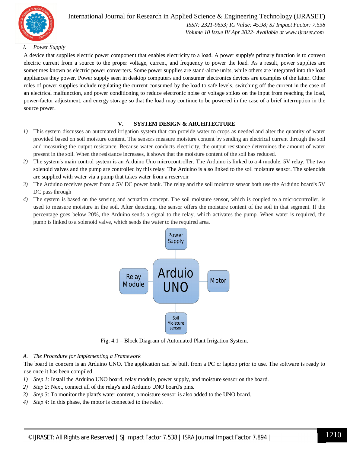

#### International Journal for Research in Applied Science & Engineering Technology (IJRASET**)**  *ISSN: 2321-9653; IC Value: 45.98; SJ Impact Factor: 7.538*

 *Volume 10 Issue IV Apr 2022- Available at www.ijraset.com*

#### *I. Power Supply*

A device that supplies electric power component that enables electricity to a load. A power supply's primary function is to convert electric current from a source to the proper voltage, current, and frequency to power the load. As a result, power supplies are sometimes known as electric power converters. Some power supplies are stand-alone units, while others are integrated into the load appliances they power. Power supply seen in desktop computers and consumer electronics devices are examples of the latter. Other roles of power supplies include regulating the current consumed by the load to safe levels, switching off the current in the case of an electrical malfunction, and power conditioning to reduce electronic noise or voltage spikes on the input from reaching the load, power-factor adjustment, and energy storage so that the load may continue to be powered in the case of a brief interruption in the source power.

#### **V. SYSTEM DESIGN & ARCHITECTURE**

- *1)* This system discusses an automated irrigation system that can provide water to crops as needed and alter the quantity of water provided based on soil moisture content. The sensors measure moisture content by sending an electrical current through the soil and measuring the output resistance. Because water conducts electricity, the output resistance determines the amount of water present in the soil. When the resistance increases, it shows that the moisture content of the soil has reduced.
- *2)* The system's main control system is an Arduino Uno microcontroller. The Arduino is linked to a 4 module, 5V relay. The two solenoid valves and the pump are controlled by this relay. The Arduino is also linked to the soil moisture sensor. The solenoids are supplied with water via a pump that takes water from a reservoir
- *3)* The Arduino receives power from a 5V DC power bank. The relay and the soil moisture sensor both use the Arduino board's 5V DC pass through
- *4)* The system is based on the sensing and actuation concept. The soil moisture sensor, which is coupled to a microcontroller, is used to measure moisture in the soil. After detecting, the sensor offers the moisture content of the soil in that segment. If the percentage goes below 20%, the Arduino sends a signal to the relay, which activates the pump. When water is required, the pump is linked to a solenoid valve, which sends the water to the required area.



Fig: 4.1 – Block Diagram of Automated Plant Irrigation System.

#### *A. The Procedure for Implementing a Framework*

The board in concern is an Arduino UNO. The application can be built from a PC or laptop prior to use. The software is ready to use once it has been compiled.

- *1) Step 1:* Install the Arduino UNO board, relay module, power supply, and moisture sensor on the board.
- *2) Step 2:* Next, connect all of the relay's and Arduino UNO board's pins.
- *3) Step 3:* To monitor the plant's water content, a moisture sensor is also added to the UNO board.
- *4) Step 4:* In this phase, the motor is connected to the relay.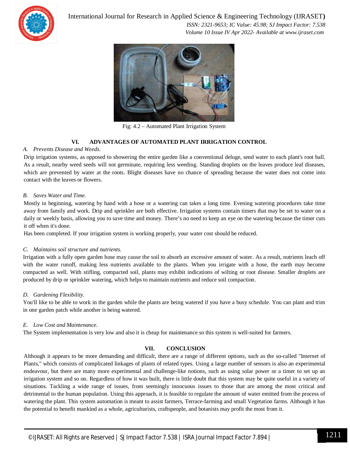

International Journal for Research in Applied Science & Engineering Technology (IJRASET**)**

 *ISSN: 2321-9653; IC Value: 45.98; SJ Impact Factor: 7.538 Volume 10 Issue IV Apr 2022- Available at www.ijraset.com*



Fig: 4.2 – Automated Plant Irrigation System

#### **VI. ADVANTAGES OF AUTOMATED PLANT IRRIGATION CONTROL**

#### *A. Prevents Disease and Weeds.*

Drip irrigation systems, as opposed to showering the entire garden like a conventional deluge, send water to each plant's root ball. As a result, nearby weed seeds will not germinate, requiring less weeding. Standing droplets on the leaves produce leaf diseases, which are prevented by water at the roots. Blight diseases have no chance of spreading because the water does not come into contact with the leaves or flowers.

#### *B. Saves Water and Time.*

Mostly in beginning, watering by hand with a hose or a watering can takes a long time. Evening watering procedures take time away from family and work. Drip and sprinkler are both effective. Irrigation systems contain timers that may be set to water on a daily or weekly basis, allowing you to save time and money. There's no need to keep an eye on the watering because the timer cuts it off when it's done.

Has been completed. If your irrigation system is working properly, your water cost should be reduced.

#### *C. Maintains soil structure and nutrients.*

Irrigation with a fully open garden hose may cause the soil to absorb an excessive amount of water. As a result, nutrients leach off with the water runoff, making less nutrients available to the plants. When you irrigate with a hose, the earth may become compacted as well. With stifling, compacted soil, plants may exhibit indications of wilting or root disease. Smaller droplets are produced by drip or sprinkler watering, which helps to maintain nutrients and reduce soil compaction.

#### *D. Gardening Flexibility.*

You'll like to be able to work in the garden while the plants are being watered if you have a busy schedule. You can plant and trim in one garden patch while another is being watered.

#### *E. Low Cost and Maintenance.*

The System implementation is very low and also it is cheap for maintenance so this system is well-suited for farmers.

#### **VII. CONCLUSION**

Although it appears to be more demanding and difficult, there are a range of different options, such as the so-called "Internet of Plants," which consists of complicated linkages of plants of related types. Using a large number of sensors is also an experimental endeavour, but there are many more experimental and challenge-like notions, such as using solar power or a timer to set up an irrigation system and so on. Regardless of how it was built, there is little doubt that this system may be quite useful in a variety of situations. Tackling a wide range of issues, from seemingly innocuous issues to those that are among the most critical and detrimental to the human population. Using this approach, it is feasible to regulate the amount of water emitted from the process of watering the plant. This system automation is meant to assist farmers, Terrace-farming and small Vegetation farms. Although it has the potential to benefit mankind as a whole, agriculturists, craftspeople, and botanists may profit the most from it.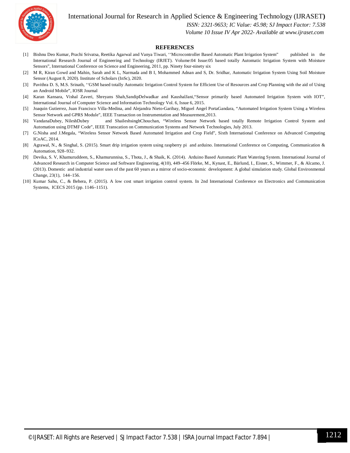International Journal for Research in Applied Science & Engineering Technology (IJRASET**)**



 *ISSN: 2321-9653; IC Value: 45.98; SJ Impact Factor: 7.538*

 *Volume 10 Issue IV Apr 2022- Available at www.ijraset.com*

#### **REFERENCES**

- [1] Bishnu Deo Kumar, Prachi Srivatsa, Reetika Agarwal and Vanya Tiwari, ''Microcontroller Based Automatic Plant Irrigation System" published in the International Research Journal of Engineering and Technology (IRJET). Volume:04 Issue:05 based totally Automatic Irrigation System with Moisture Sensors", International Conference on Science and Engineering, 2011, pp. Ninety four-ninety six
- [2] M R, Kiran Gowd and Mahin, Sarah and K L, Narmada and B I, Mohammed Adnan and S, Dr. Sridhar, Automatic Irrigation System Using Soil Moisture Sensor (August 8, 2020). Institute of Scholars (InSc), 2020.
- [3] Pavithra D. S, M.S. Srinath, ''GSM based totally Automatic Irrigation Control System for Efficient Use of Resources and Crop Planning with the aid of Using an Android Mobile", IOSR Journal
- [4] Karan Kansara, Vishal Zaveri, Shreyans Shah,SandipDelwadkar and KaushalJani,"Sensor primarily based Automated Irrigation System with IOT", International Journal of Computer Science and Information Technology Vol. 6, Issue 6, 2015.
- [5] Joaquin Gutierrez, Juan Francisco Villa-Medina, and Alejandra Nieto-Garibay, Miguel Angel PortaGandara, "Automated Irrigation System Using a Wireless Sensor Network and GPRS Module", IEEE Transaction on Instrumentation and Measurement,2013.
- [6] VandanaDubey, NileshDubey and ShaileshsinghChouchan, "Wireless Sensor Network based totally Remote Irrigation Control System and Automation using DTMF Code", IEEE Transcation on Communication Systems and Network Technologies, July 2013.
- [7] G.Nisha and J.Megala, "Wireless Sensor Network Based Automated Irrigation and Crop Field", Sixth International Conference on Advanced Computing ICoAC, 2014.
- [8] Agrawal, N., & Singhal, S. (2015). Smart drip irrigation system using raspberry pi and arduino. International Conference on Computing, Communication & Automation, 928–932.
- [9] Devika, S. V, Khamuruddeen, S., Khamurunnisa, S., Thota, J., & Shaik, K. (2014). Arduino Based Automatic Plant Watering System. International Journal of Advanced Research in Computer Science and Software Engineering, 4(10), 449–456 Flörke, M., Kynast, E., Bärlund, I., Eisner, S., Wimmer, F., & Alcamo, J. (2013). Domestic and industrial water uses of the past 60 years as a mirror of socio-economic development: A global simulation study. Global Environmental Change, 23(1), 144–156.
- [10] Kumar Sahu, C., & Behera, P. (2015). A low cost smart irrigation control system. In 2nd International Conference on Electronics and Communication Systems, ICECS 2015 (pp. 1146–1151).